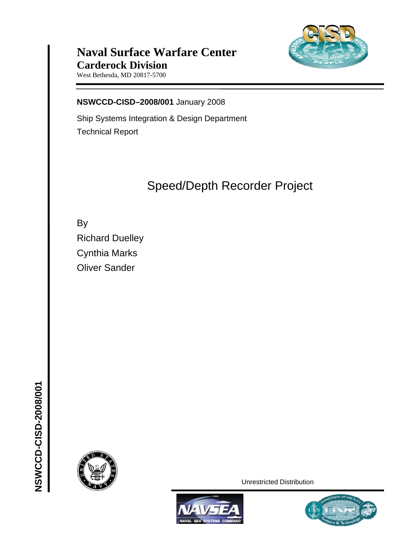

## **Naval Surface Warfare Center Carderock Division**

West Bethesda, MD 20817-5700

**NSWCCD-CISD–2008/001** January 2008

Ship Systems Integration & Design Department Technical Report

# Speed/Depth Recorder Project

By Richard Duelley Cynthia Marks Oliver Sander

**NSWCCD-CISD-2008/001**

NSWCCD-CISD-2008/001

Unrestricted Distribution



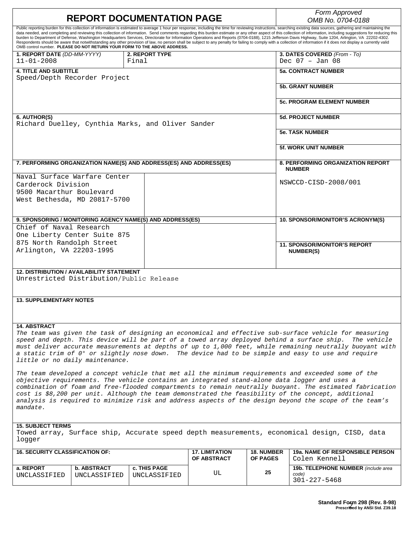|                                                                                                                                                                                                                                                                                                                                                                                                                                                                                                                                                                                                                                                                                                                                                                                                                                                                                                                                                                | <b>REPORT DOCUMENTATION PAGE</b>                                                            |                                | Form Approved<br>OMB No. 0704-0188   |                               |                                                           |  |  |
|----------------------------------------------------------------------------------------------------------------------------------------------------------------------------------------------------------------------------------------------------------------------------------------------------------------------------------------------------------------------------------------------------------------------------------------------------------------------------------------------------------------------------------------------------------------------------------------------------------------------------------------------------------------------------------------------------------------------------------------------------------------------------------------------------------------------------------------------------------------------------------------------------------------------------------------------------------------|---------------------------------------------------------------------------------------------|--------------------------------|--------------------------------------|-------------------------------|-----------------------------------------------------------|--|--|
| Public reporting burden for this collection of information is estimated to average 1 hour per response, including the time for reviewing instructions, searching existing data sources, gathering and maintaining the<br>data needed, and completing and reviewing this collection of information. Send comments regarding this burden estimate or any other aspect of this collection of information, including suggestions for reducing this<br>burden to Department of Defense, Washington Headquarters Services, Directorate for Information Operations and Reports (0704-0188), 1215 Jefferson Davis Highway, Suite 1204, Arlington, VA 22202-4302.<br>Respondents should be aware that notwithstanding any other provision of law, no person shall be subject to any penalty for failing to comply with a collection of information if it does not display a currently valid<br>OMB control number. PLEASE DO NOT RETURN YOUR FORM TO THE ABOVE ADDRESS. |                                                                                             |                                |                                      |                               |                                                           |  |  |
| 1. REPORT DATE (DD-MM-YYYY)<br>$11 - 01 - 2008$                                                                                                                                                                                                                                                                                                                                                                                                                                                                                                                                                                                                                                                                                                                                                                                                                                                                                                                |                                                                                             | <b>2. REPORT TYPE</b><br>Final |                                      |                               | 3. DATES COVERED (From - To)<br>Dec $07 - Jan 08$         |  |  |
| <b>4. TITLE AND SUBTITLE</b>                                                                                                                                                                                                                                                                                                                                                                                                                                                                                                                                                                                                                                                                                                                                                                                                                                                                                                                                   | Speed/Depth Recorder Project                                                                |                                |                                      |                               | <b>5a. CONTRACT NUMBER</b>                                |  |  |
|                                                                                                                                                                                                                                                                                                                                                                                                                                                                                                                                                                                                                                                                                                                                                                                                                                                                                                                                                                |                                                                                             |                                |                                      |                               | <b>5b. GRANT NUMBER</b>                                   |  |  |
|                                                                                                                                                                                                                                                                                                                                                                                                                                                                                                                                                                                                                                                                                                                                                                                                                                                                                                                                                                |                                                                                             |                                |                                      |                               | <b>5c. PROGRAM ELEMENT NUMBER</b>                         |  |  |
| 6. AUTHOR(S)                                                                                                                                                                                                                                                                                                                                                                                                                                                                                                                                                                                                                                                                                                                                                                                                                                                                                                                                                   | Richard Duelley, Cynthia Marks, and Oliver Sander                                           |                                |                                      |                               | <b>5d. PROJECT NUMBER</b>                                 |  |  |
|                                                                                                                                                                                                                                                                                                                                                                                                                                                                                                                                                                                                                                                                                                                                                                                                                                                                                                                                                                |                                                                                             |                                |                                      |                               | <b>5e. TASK NUMBER</b>                                    |  |  |
|                                                                                                                                                                                                                                                                                                                                                                                                                                                                                                                                                                                                                                                                                                                                                                                                                                                                                                                                                                |                                                                                             |                                |                                      |                               | <b>5f. WORK UNIT NUMBER</b>                               |  |  |
|                                                                                                                                                                                                                                                                                                                                                                                                                                                                                                                                                                                                                                                                                                                                                                                                                                                                                                                                                                | 7. PERFORMING ORGANIZATION NAME(S) AND ADDRESS(ES) AND ADDRESS(ES)                          |                                |                                      |                               | <b>8. PERFORMING ORGANIZATION REPORT</b><br><b>NUMBER</b> |  |  |
| Carderock Division                                                                                                                                                                                                                                                                                                                                                                                                                                                                                                                                                                                                                                                                                                                                                                                                                                                                                                                                             | Naval Surface Warfare Center                                                                |                                |                                      |                               | NSWCCD-CISD-2008/001                                      |  |  |
| 9500 Macarthur Boulevard                                                                                                                                                                                                                                                                                                                                                                                                                                                                                                                                                                                                                                                                                                                                                                                                                                                                                                                                       | West Bethesda, MD 20817-5700                                                                |                                |                                      |                               |                                                           |  |  |
|                                                                                                                                                                                                                                                                                                                                                                                                                                                                                                                                                                                                                                                                                                                                                                                                                                                                                                                                                                |                                                                                             |                                |                                      |                               |                                                           |  |  |
| Chief of Naval Research                                                                                                                                                                                                                                                                                                                                                                                                                                                                                                                                                                                                                                                                                                                                                                                                                                                                                                                                        | 9. SPONSORING / MONITORING AGENCY NAME(S) AND ADDRESS(ES)                                   |                                |                                      |                               | 10. SPONSOR/MONITOR'S ACRONYM(S)                          |  |  |
|                                                                                                                                                                                                                                                                                                                                                                                                                                                                                                                                                                                                                                                                                                                                                                                                                                                                                                                                                                | One Liberty Center Suite 875                                                                |                                |                                      |                               |                                                           |  |  |
| 875 North Randolph Street<br>Arlington, VA 22203-1995                                                                                                                                                                                                                                                                                                                                                                                                                                                                                                                                                                                                                                                                                                                                                                                                                                                                                                          |                                                                                             |                                |                                      |                               | <b>11. SPONSOR/MONITOR'S REPORT</b><br><b>NUMBER(S)</b>   |  |  |
|                                                                                                                                                                                                                                                                                                                                                                                                                                                                                                                                                                                                                                                                                                                                                                                                                                                                                                                                                                |                                                                                             |                                |                                      |                               |                                                           |  |  |
| <b>12. DISTRIBUTION / AVAILABILITY STATEMENT</b><br>Unrestricted Distribution/Public Release                                                                                                                                                                                                                                                                                                                                                                                                                                                                                                                                                                                                                                                                                                                                                                                                                                                                   |                                                                                             |                                |                                      |                               |                                                           |  |  |
|                                                                                                                                                                                                                                                                                                                                                                                                                                                                                                                                                                                                                                                                                                                                                                                                                                                                                                                                                                |                                                                                             |                                |                                      |                               |                                                           |  |  |
| <b>13. SUPPLEMENTARY NOTES</b>                                                                                                                                                                                                                                                                                                                                                                                                                                                                                                                                                                                                                                                                                                                                                                                                                                                                                                                                 |                                                                                             |                                |                                      |                               |                                                           |  |  |
|                                                                                                                                                                                                                                                                                                                                                                                                                                                                                                                                                                                                                                                                                                                                                                                                                                                                                                                                                                |                                                                                             |                                |                                      |                               |                                                           |  |  |
| <b>14. ABSTRACT</b><br>The team was given the task of designing an economical and effective sub-surface vehicle for measuring<br>speed and depth. This device will be part of a towed array deployed behind a surface ship. The vehicle<br>must deliver accurate measurements at depths of up to 1,000 feet, while remaining neutrally buoyant with<br>a static trim of 0° or slightly nose down. The device had to be simple and easy to use and require<br>little or no daily maintenance.                                                                                                                                                                                                                                                                                                                                                                                                                                                                   |                                                                                             |                                |                                      |                               |                                                           |  |  |
| The team developed a concept vehicle that met all the minimum requirements and exceeded some of the<br>objective requirements. The vehicle contains an integrated stand-alone data logger and uses a<br>combination of foam and free-flooded compartments to remain neutrally buoyant. The estimated fabrication<br>cost is \$8,200 per unit. Although the team demonstrated the feasibility of the concept, additional<br>analysis is required to minimize risk and address aspects of the design beyond the scope of the team's<br>mandate.                                                                                                                                                                                                                                                                                                                                                                                                                  |                                                                                             |                                |                                      |                               |                                                           |  |  |
| <b>15. SUBJECT TERMS</b>                                                                                                                                                                                                                                                                                                                                                                                                                                                                                                                                                                                                                                                                                                                                                                                                                                                                                                                                       |                                                                                             |                                |                                      |                               |                                                           |  |  |
| logger                                                                                                                                                                                                                                                                                                                                                                                                                                                                                                                                                                                                                                                                                                                                                                                                                                                                                                                                                         | Towed array, Surface ship, Accurate speed depth measurements, economical design, CISD, data |                                |                                      |                               |                                                           |  |  |
| <b>16. SECURITY CLASSIFICATION OF:</b>                                                                                                                                                                                                                                                                                                                                                                                                                                                                                                                                                                                                                                                                                                                                                                                                                                                                                                                         |                                                                                             |                                | <b>17. LIMITATION</b><br>OF ABSTRACT | <b>18. NUMBER</b><br>OF PAGES | <b>19a. NAME OF RESPONSIBLE PERSON</b><br>Colen Kennell   |  |  |
| a. REPORT<br>UNCLASSIFIED                                                                                                                                                                                                                                                                                                                                                                                                                                                                                                                                                                                                                                                                                                                                                                                                                                                                                                                                      | <b>b. ABSTRACT</b><br>UNCLASSIFIED                                                          | c. THIS PAGE<br>UNCLASSIFIED   | UL                                   | 25                            | 19b. TELEPHONE NUMBER (include area<br>code)              |  |  |
|                                                                                                                                                                                                                                                                                                                                                                                                                                                                                                                                                                                                                                                                                                                                                                                                                                                                                                                                                                |                                                                                             |                                |                                      |                               | $301 - 227 - 5468$                                        |  |  |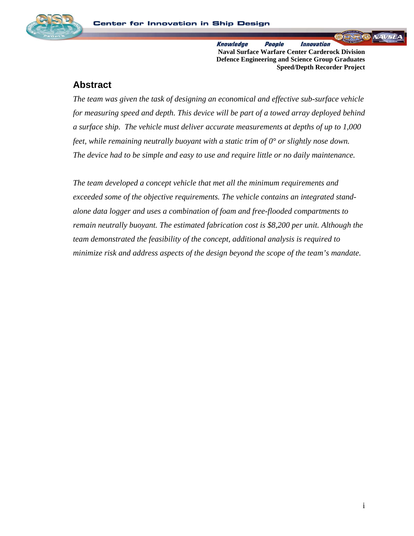

**Knowledge** People *Innovation* **Naval Surface Warfare Center Carderock Division Defence Engineering and Science Group Graduates Speed/Depth Recorder Project** 

### **Abstract**

*The team was given the task of designing an economical and effective sub-surface vehicle for measuring speed and depth. This device will be part of a towed array deployed behind a surface ship. The vehicle must deliver accurate measurements at depths of up to 1,000 feet, while remaining neutrally buoyant with a static trim of 0° or slightly nose down. The device had to be simple and easy to use and require little or no daily maintenance.* 

*The team developed a concept vehicle that met all the minimum requirements and exceeded some of the objective requirements. The vehicle contains an integrated standalone data logger and uses a combination of foam and free-flooded compartments to remain neutrally buoyant. The estimated fabrication cost is \$8,200 per unit. Although the team demonstrated the feasibility of the concept, additional analysis is required to minimize risk and address aspects of the design beyond the scope of the team's mandate.*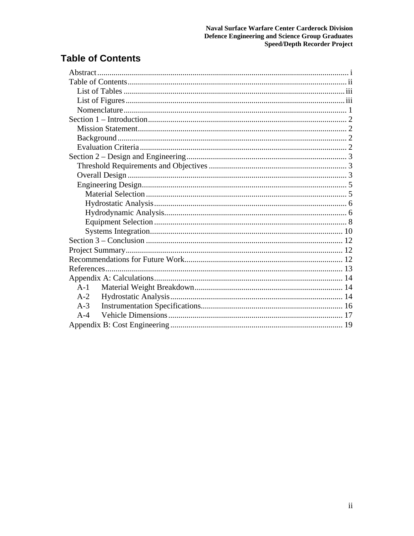## **Table of Contents**

| $A-1$ |  |  |  |  |  |
|-------|--|--|--|--|--|
| $A-2$ |  |  |  |  |  |
| $A-3$ |  |  |  |  |  |
| $A-4$ |  |  |  |  |  |
|       |  |  |  |  |  |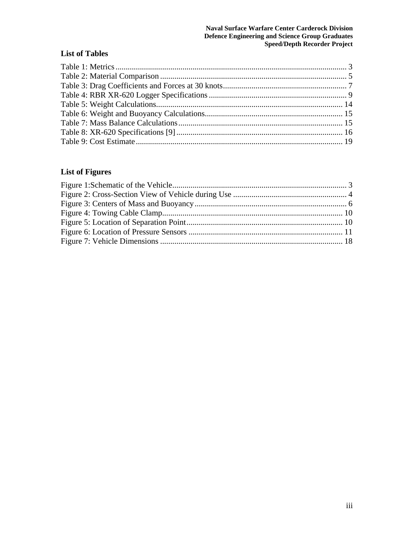#### **Naval Surface Warfare Center Carderock Division Defence Engineering and Science Group Graduates Speed/Depth Recorder Project**

### **List of Tables**

### **List of Figures**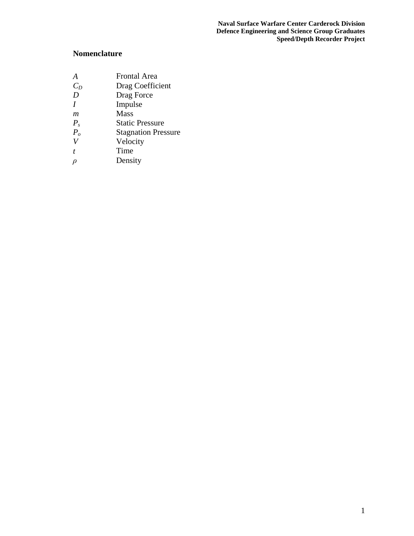### **Nomenclature**

- *A* **Frontal Area**<br>*C<sub>D</sub>* **Drag Coeffici**
- *C<sub>D</sub>* Drag Coefficient *D* Drag Force
- Drag Force
- *I* Impulse
- *m* Mass
- *P<sub>s</sub>* Static Pressure<br> *P<sub>o</sub>* Stagnation Pres<br> *V* Velocity
- **Stagnation Pressure**
- *V* Velocity
- *t* Time
- *ρ* Density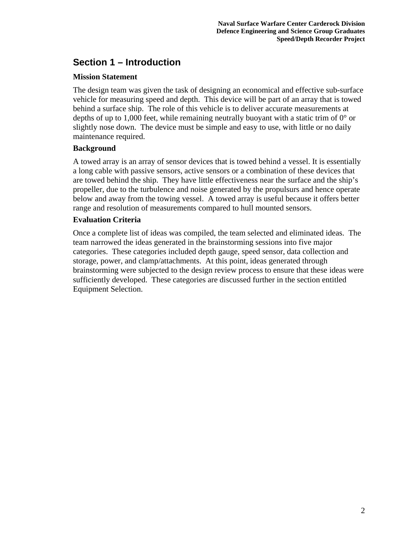## **Section 1 – Introduction**

#### **Mission Statement**

The design team was given the task of designing an economical and effective sub-surface vehicle for measuring speed and depth. This device will be part of an array that is towed behind a surface ship. The role of this vehicle is to deliver accurate measurements at depths of up to 1,000 feet, while remaining neutrally buoyant with a static trim of  $0^{\circ}$  or slightly nose down. The device must be simple and easy to use, with little or no daily maintenance required.

#### **Background**

A towed array is an array of sensor devices that is towed behind a vessel. It is essentially a long cable with passive sensors, active sensors or a combination of these devices that are towed behind the ship. They have little effectiveness near the surface and the ship's propeller, due to the turbulence and noise generated by the propulsurs and hence operate below and away from the towing vessel. A towed array is useful because it offers better range and resolution of measurements compared to hull mounted sensors.

#### **Evaluation Criteria**

Once a complete list of ideas was compiled, the team selected and eliminated ideas. The team narrowed the ideas generated in the brainstorming sessions into five major categories. These categories included depth gauge, speed sensor, data collection and storage, power, and clamp/attachments. At this point, ideas generated through brainstorming were subjected to the design review process to ensure that these ideas were sufficiently developed. These categories are discussed further in the section entitled Equipment Selection.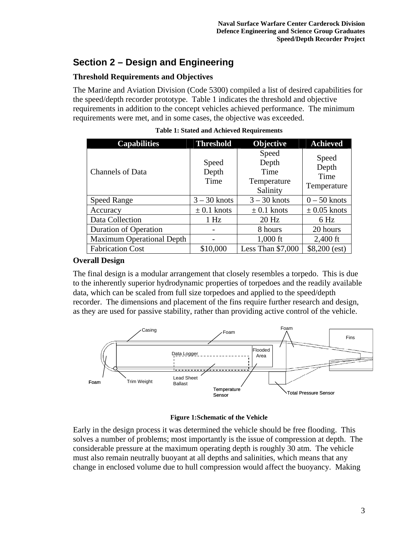## **Section 2 – Design and Engineering**

### **Threshold Requirements and Objectives**

The Marine and Aviation Division (Code 5300) compiled a list of desired capabilities for the speed/depth recorder prototype. Table 1 indicates the threshold and objective requirements in addition to the concept vehicles achieved performance. The minimum requirements were met, and in some cases, the objective was exceeded.

| <b>Capabilities</b>              | <b>Threshold</b>       | Objective                                         | <b>Achieved</b>                       |
|----------------------------------|------------------------|---------------------------------------------------|---------------------------------------|
| <b>Channels of Data</b>          | Speed<br>Depth<br>Time | Speed<br>Depth<br>Time<br>Temperature<br>Salinity | Speed<br>Depth<br>Time<br>Temperature |
| <b>Speed Range</b>               | $3 - 30$ knots         | $3 - 30$ knots                                    | $0 - 50$ knots                        |
| Accuracy                         | $\pm$ 0.1 knots        | $\pm$ 0.1 knots                                   | $\pm$ 0.05 knots                      |
| Data Collection                  | 1 Hz                   | $20$ Hz                                           | 6 Hz                                  |
| <b>Duration of Operation</b>     |                        | 8 hours                                           | 20 hours                              |
| <b>Maximum Operational Depth</b> |                        | $1,000$ ft                                        | $2,400$ ft                            |
| <b>Fabrication Cost</b>          | \$10,000               | Less Than $$7,000$                                | $$8,200$ (est)                        |

#### **Overall Design**

The final design is a modular arrangement that closely resembles a torpedo. This is due to the inherently superior hydrodynamic properties of torpedoes and the readily available data, which can be scaled from full size torpedoes and applied to the speed/depth recorder. The dimensions and placement of the fins require further research and design, as they are used for passive stability, rather than providing active control of the vehicle.



#### **Figure 1:Schematic of the Vehicle**

Early in the design process it was determined the vehicle should be free flooding. This solves a number of problems; most importantly is the issue of compression at depth. The considerable pressure at the maximum operating depth is roughly 30 atm. The vehicle must also remain neutrally buoyant at all depths and salinities, which means that any change in enclosed volume due to hull compression would affect the buoyancy. Making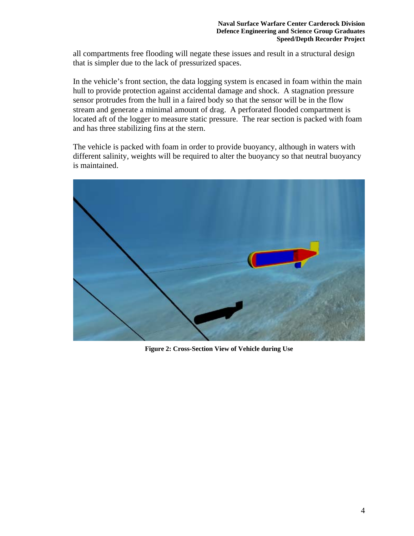all compartments free flooding will negate these issues and result in a structural design that is simpler due to the lack of pressurized spaces.

In the vehicle's front section, the data logging system is encased in foam within the main hull to provide protection against accidental damage and shock. A stagnation pressure sensor protrudes from the hull in a faired body so that the sensor will be in the flow stream and generate a minimal amount of drag. A perforated flooded compartment is located aft of the logger to measure static pressure. The rear section is packed with foam and has three stabilizing fins at the stern.

The vehicle is packed with foam in order to provide buoyancy, although in waters with different salinity, weights will be required to alter the buoyancy so that neutral buoyancy is maintained.



**Figure 2: Cross-Section View of Vehicle during Use**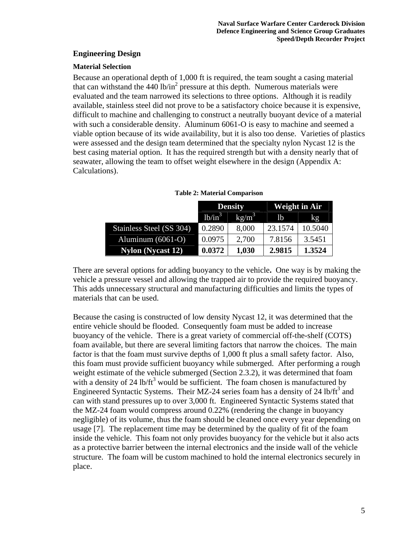#### **Engineering Design**

#### **Material Selection**

Because an operational depth of 1,000 ft is required, the team sought a casing material that can withstand the  $440$  lb/in<sup>2</sup> pressure at this depth. Numerous materials were evaluated and the team narrowed its selections to three options. Although it is readily available, stainless steel did not prove to be a satisfactory choice because it is expensive, difficult to machine and challenging to construct a neutrally buoyant device of a material with such a considerable density. Aluminum 6061-O is easy to machine and seemed a viable option because of its wide availability, but it is also too dense. Varieties of plastics were assessed and the design team determined that the specialty nylon Nycast 12 is the best casing material option. It has the required strength but with a density nearly that of seawater, allowing the team to offset weight elsewhere in the design [\(Appendix A:](#page-18-0)  [Calculations](#page-18-0)).

|                          | <b>Density</b> |                   | <b>Weight in Air</b> |               |
|--------------------------|----------------|-------------------|----------------------|---------------|
|                          | $1b/in^3$      | kg/m <sup>3</sup> | 1 <sub>b</sub>       | $k\mathbf{g}$ |
| Stainless Steel (SS 304) | 0.2890         | 8,000             | 23.1574              | 10.5040       |
| Aluminum $(6061-O)$      | 0.0975         | 2,700             | 7.8156               | 3.5451        |
| <b>Nylon</b> (Nycast 12) | 0.0372         | 1,030             | 2.9815               | 1.3524        |

**Table 2: Material Comparison** 

There are several options for adding buoyancy to the vehicle**.** One way is by making the vehicle a pressure vessel and allowing the trapped air to provide the required buoyancy. This adds unnecessary structural and manufacturing difficulties and limits the types of materials that can be used.

Because the casing is constructed of low density Nycast 12, it was determined that the entire vehicle should be flooded. Consequently foam must be added to increase buoyancy of the vehicle. There is a great variety of commercial off-the-shelf (COTS) foam available, but there are several limiting factors that narrow the choices. The main factor is that the foam must survive depths of 1,000 ft plus a small safety factor. Also, this foam must provide sufficient buoyancy while submerged. After performing a rough weight estimate of the vehicle submerged (Section 2.3.2), it was determined that foam with a density of 24 lb/ft<sup>3</sup> would be sufficient. The foam chosen is manufactured by Engineered Syntactic Systems. Their MZ-24 series foam has a density of 24 lb/ft<sup>3</sup> and can with stand pressures up to over 3,000 ft. Engineered Syntactic Systems stated that the MZ-24 foam would compress around 0.22% (rendering the change in buoyancy negligible) of its volume, thus the foam should be cleaned once every year depending on usage [7]. The replacement time may be determined by the quality of fit of the foam inside the vehicle. This foam not only provides buoyancy for the vehicle but it also acts as a protective barrier between the internal electronics and the inside wall of the vehicle structure. The foam will be custom machined to hold the internal electronics securely in place.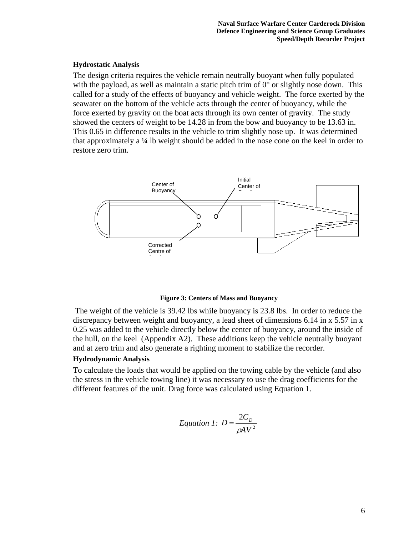#### **Hydrostatic Analysis**

The design criteria requires the vehicle remain neutrally buoyant when fully populated with the payload, as well as maintain a static pitch trim of  $0^{\circ}$  or slightly nose down. This called for a study of the effects of buoyancy and vehicle weight. The force exerted by the seawater on the bottom of the vehicle acts through the center of buoyancy, while the force exerted by gravity on the boat acts through its own center of gravity. The study showed the centers of weight to be 14.28 in from the bow and buoyancy to be 13.63 in. This 0.65 in difference results in the vehicle to trim slightly nose up. It was determined that approximately a ¼ lb weight should be added in the nose cone on the keel in order to restore zero trim.



#### **Figure 3: Centers of Mass and Buoyancy**

 The weight of the vehicle is 39.42 lbs while buoyancy is 23.8 lbs. In order to reduce the discrepancy between weight and buoyancy, a lead sheet of dimensions 6.14 in x 5.57 in x 0.25 was added to the vehicle directly below the center of buoyancy, around the inside of the hull, on the keel (Appendix A2). These additions keep the vehicle neutrally buoyant and at zero trim and also generate a righting moment to stabilize the recorder.

#### **Hydrodynamic Analysis**

To calculate the loads that would be applied on the towing cable by the vehicle (and also the stress in the vehicle towing line) it was necessary to use the drag coefficients for the different features of the unit. Drag force was calculated using Equation 1.

$$
Equation 1: D = \frac{2C_D}{\rho A V^2}
$$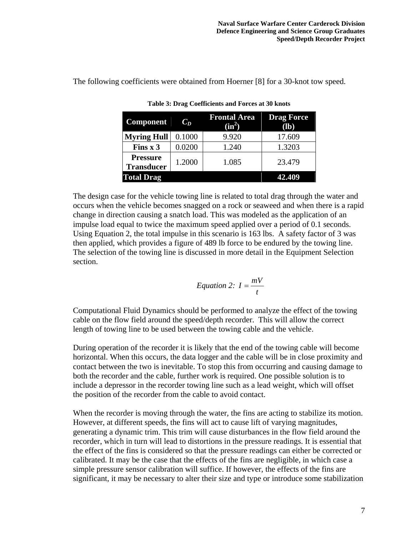The following coefficients were obtained from Hoerner [8] for a 30-knot tow speed.

| <b>Component</b>                     | $C_D$  | <b>Frontal Area</b><br>$(in^2)$ | <b>Drag Force</b><br>$(lb)$ |
|--------------------------------------|--------|---------------------------------|-----------------------------|
| <b>Myring Hull</b>                   | 0.1000 | 9.920                           | 17.609                      |
| Fins $x$ 3                           | 0.0200 | 1.240                           | 1.3203                      |
| <b>Pressure</b><br><b>Transducer</b> | 1.2000 | 1.085                           | 23.479                      |
| <b>Total Drag</b>                    |        |                                 | 42.409                      |

**Table 3: Drag Coefficients and Forces at 30 knots** 

The design case for the vehicle towing line is related to total drag through the water and occurs when the vehicle becomes snagged on a rock or seaweed and when there is a rapid change in direction causing a snatch load. This was modeled as the application of an impulse load equal to twice the maximum speed applied over a period of 0.1 seconds. Using Equation 2, the total impulse in this scenario is 163 lbs. A safety factor of 3 was then applied, which provides a figure of 489 lb force to be endured by the towing line. The selection of the towing line is discussed in more detail in the Equipment Selection section.

Equation 2: 
$$
I = \frac{mV}{t}
$$

Computational Fluid Dynamics should be performed to analyze the effect of the towing cable on the flow field around the speed/depth recorder. This will allow the correct length of towing line to be used between the towing cable and the vehicle.

During operation of the recorder it is likely that the end of the towing cable will become horizontal. When this occurs, the data logger and the cable will be in close proximity and contact between the two is inevitable. To stop this from occurring and causing damage to both the recorder and the cable, further work is required. One possible solution is to include a depressor in the recorder towing line such as a lead weight, which will offset the position of the recorder from the cable to avoid contact.

When the recorder is moving through the water, the fins are acting to stabilize its motion. However, at different speeds, the fins will act to cause lift of varying magnitudes, generating a dynamic trim. This trim will cause disturbances in the flow field around the recorder, which in turn will lead to distortions in the pressure readings. It is essential that the effect of the fins is considered so that the pressure readings can either be corrected or calibrated. It may be the case that the effects of the fins are negligible, in which case a simple pressure sensor calibration will suffice. If however, the effects of the fins are significant, it may be necessary to alter their size and type or introduce some stabilization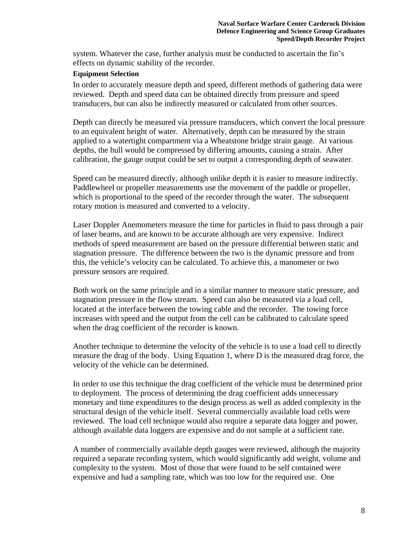system. Whatever the case, further analysis must be conducted to ascertain the fin's effects on dynamic stability of the recorder.

#### **Equipment Selection**

In order to accurately measure depth and speed, different methods of gathering data were reviewed. Depth and speed data can be obtained directly from pressure and speed transducers, but can also be indirectly measured or calculated from other sources.

Depth can directly be measured via pressure transducers, which convert the local pressure to an equivalent height of water. Alternatively, depth can be measured by the strain applied to a watertight compartment via a Wheatstone bridge strain gauge. At various depths, the hull would be compressed by differing amounts, causing a strain. After calibration, the gauge output could be set to output a corresponding depth of seawater.

Speed can be measured directly, although unlike depth it is easier to measure indirectly. Paddlewheel or propeller measurements use the movement of the paddle or propeller, which is proportional to the speed of the recorder through the water. The subsequent rotary motion is measured and converted to a velocity.

Laser Doppler Anemometers measure the time for particles in fluid to pass through a pair of laser beams, and are known to be accurate although are very expensive. Indirect methods of speed measurement are based on the pressure differential between static and stagnation pressure. The difference between the two is the dynamic pressure and from this, the vehicle's velocity can be calculated. To achieve this, a manometer or two pressure sensors are required.

Both work on the same principle and in a similar manner to measure static pressure, and stagnation pressure in the flow stream. Speed can also be measured via a load cell, located at the interface between the towing cable and the recorder. The towing force increases with speed and the output from the cell can be calibrated to calculate speed when the drag coefficient of the recorder is known.

Another technique to determine the velocity of the vehicle is to use a load cell to directly measure the drag of the body. Using Equation 1, where D is the measured drag force, the velocity of the vehicle can be determined.

In order to use this technique the drag coefficient of the vehicle must be determined prior to deployment. The process of determining the drag coefficient adds unnecessary monetary and time expenditures to the design process as well as added complexity in the structural design of the vehicle itself. Several commercially available load cells were reviewed. The load cell technique would also require a separate data logger and power, although available data loggers are expensive and do not sample at a sufficient rate.

A number of commercially available depth gauges were reviewed, although the majority required a separate recording system, which would significantly add weight, volume and complexity to the system. Most of those that were found to be self contained were expensive and had a sampling rate, which was too low for the required use. One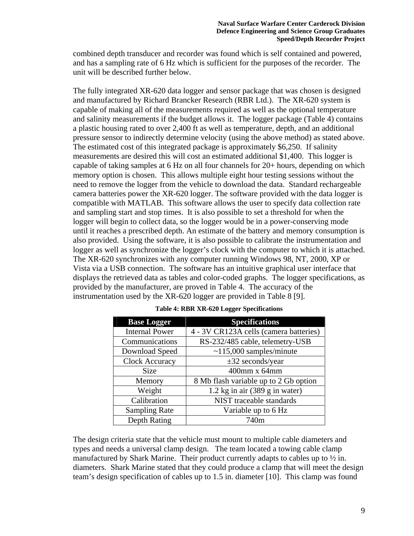combined depth transducer and recorder was found which is self contained and powered, and has a sampling rate of 6 Hz which is sufficient for the purposes of the recorder. The unit will be described further below.

The fully integrated XR-620 data logger and sensor package that was chosen is designed and manufactured by Richard Brancker Research (RBR Ltd.). The XR-620 system is capable of making all of the measurements required as well as the optional temperature and salinity measurements if the budget allows it. The logger package (Table 4) contains a plastic housing rated to over 2,400 ft as well as temperature, depth, and an additional pressure sensor to indirectly determine velocity (using the above method) as stated above. The estimated cost of this integrated package is approximately \$6,250. If salinity measurements are desired this will cost an estimated additional \$1,400. This logger is capable of taking samples at 6 Hz on all four channels for 20+ hours, depending on which memory option is chosen. This allows multiple eight hour testing sessions without the need to remove the logger from the vehicle to download the data. Standard rechargeable camera batteries power the XR-620 logger. The software provided with the data logger is compatible with MATLAB. This software allows the user to specify data collection rate and sampling start and stop times. It is also possible to set a threshold for when the logger will begin to collect data, so the logger would be in a power-conserving mode until it reaches a prescribed depth. An estimate of the battery and memory consumption is also provided. Using the software, it is also possible to calibrate the instrumentation and logger as well as synchronize the logger's clock with the computer to which it is attached. The XR-620 synchronizes with any computer running Windows 98, NT, 2000, XP or Vista via a USB connection. The software has an intuitive graphical user interface that displays the retrieved data as tables and color-coded graphs. The logger specifications, as provided by the manufacturer, are proved in Table 4. The accuracy of the instrumentation used by the XR-620 logger are provided in Table 8 [9].

| <b>Base Logger</b>    | <b>Specifications</b>                  |
|-----------------------|----------------------------------------|
| <b>Internal Power</b> | 4 - 3V CR123A cells (camera batteries) |
| Communications        | RS-232/485 cable, telemetry-USB        |
| Download Speed        | $~115,000$ samples/minute              |
| <b>Clock Accuracy</b> | $\pm 32$ seconds/year                  |
| <b>Size</b>           | 400mm x 64mm                           |
| Memory                | 8 Mb flash variable up to 2 Gb option  |
| Weight                | $1.2$ kg in air (389 g in water)       |
| Calibration           | NIST traceable standards               |
| <b>Sampling Rate</b>  | Variable up to 6 Hz                    |
| Depth Rating          | 740m                                   |

|  |  |  | Table 4: RBR XR-620 Logger Specifications |
|--|--|--|-------------------------------------------|
|  |  |  |                                           |

The design criteria state that the vehicle must mount to multiple cable diameters and types and needs a universal clamp design. The team located a towing cable clamp manufactured by Shark Marine. Their product currently adapts to cables up to ½ in. diameters. Shark Marine stated that they could produce a clamp that will meet the design team's design specification of cables up to 1.5 in. diameter [10]. This clamp was found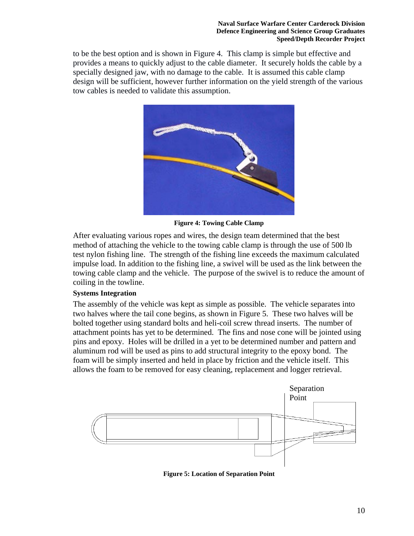to be the best option and is shown in Figure 4. This clamp is simple but effective and provides a means to quickly adjust to the cable diameter. It securely holds the cable by a specially designed jaw, with no damage to the cable. It is assumed this cable clamp design will be sufficient, however further information on the yield strength of the various tow cables is needed to validate this assumption.



**Figure 4: Towing Cable Clamp**

After evaluating various ropes and wires, the design team determined that the best method of attaching the vehicle to the towing cable clamp is through the use of 500 lb test nylon fishing line. The strength of the fishing line exceeds the maximum calculated impulse load. In addition to the fishing line, a swivel will be used as the link between the towing cable clamp and the vehicle. The purpose of the swivel is to reduce the amount of coiling in the towline.

#### **Systems Integration**

The assembly of the vehicle was kept as simple as possible. The vehicle separates into two halves where the tail cone begins, as shown in Figure 5. These two halves will be bolted together using standard bolts and heli-coil screw thread inserts. The number of attachment points has yet to be determined. The fins and nose cone will be jointed using pins and epoxy. Holes will be drilled in a yet to be determined number and pattern and aluminum rod will be used as pins to add structural integrity to the epoxy bond. The foam will be simply inserted and held in place by friction and the vehicle itself. This allows the foam to be removed for easy cleaning, replacement and logger retrieval.



**Figure 5: Location of Separation Point**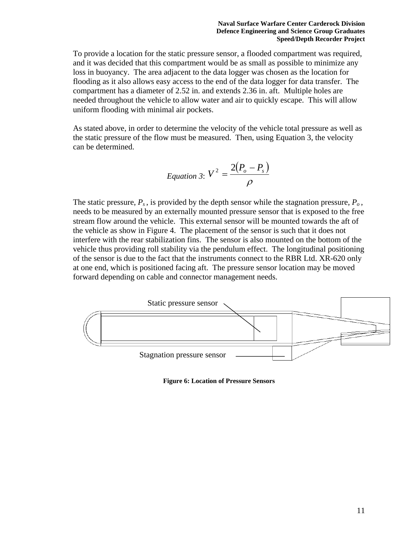To provide a location for the static pressure sensor, a flooded compartment was required, and it was decided that this compartment would be as small as possible to minimize any loss in buoyancy. The area adjacent to the data logger was chosen as the location for flooding as it also allows easy access to the end of the data logger for data transfer. The compartment has a diameter of 2.52 in. and extends 2.36 in. aft. Multiple holes are needed throughout the vehicle to allow water and air to quickly escape. This will allow uniform flooding with minimal air pockets.

As stated above, in order to determine the velocity of the vehicle total pressure as well as the static pressure of the flow must be measured. Then, using Equation 3, the velocity can be determined.

$$
Equation 3: V^2 = \frac{2(P_o - P_s)}{\rho}
$$

The static pressure,  $P_s$ , is provided by the depth sensor while the stagnation pressure,  $P_o$ , needs to be measured by an externally mounted pressure sensor that is exposed to the free stream flow around the vehicle. This external sensor will be mounted towards the aft of the vehicle as show in Figure 4. The placement of the sensor is such that it does not interfere with the rear stabilization fins. The sensor is also mounted on the bottom of the vehicle thus providing roll stability via the pendulum effect. The longitudinal positioning of the sensor is due to the fact that the instruments connect to the RBR Ltd. XR-620 only at one end, which is positioned facing aft. The pressure sensor location may be moved forward depending on cable and connector management needs.



**Figure 6: Location of Pressure Sensors**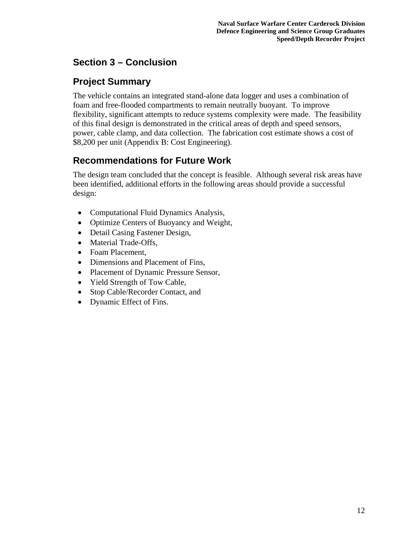## **Section 3 – Conclusion**

### **Project Summary**

The vehicle contains an integrated stand-alone data logger and uses a combination of foam and free-flooded compartments to remain neutrally buoyant. To improve flexibility, significant attempts to reduce systems complexity were made. The feasibility of this final design is demonstrated in the critical areas of depth and speed sensors, power, cable clamp, and data collection. The fabrication cost estimate shows a cost of \$8,200 per unit [\(Appendix B: Cost Engineering](#page-23-0)).

## **Recommendations for Future Work**

The design team concluded that the concept is feasible. Although several risk areas have been identified, additional efforts in the following areas should provide a successful design:

- Computational Fluid Dynamics Analysis,
- Optimize Centers of Buoyancy and Weight,
- Detail Casing Fastener Design,
- Material Trade-Offs,
- Foam Placement,
- Dimensions and Placement of Fins.
- Placement of Dynamic Pressure Sensor,
- Yield Strength of Tow Cable,
- Stop Cable/Recorder Contact, and
- Dynamic Effect of Fins.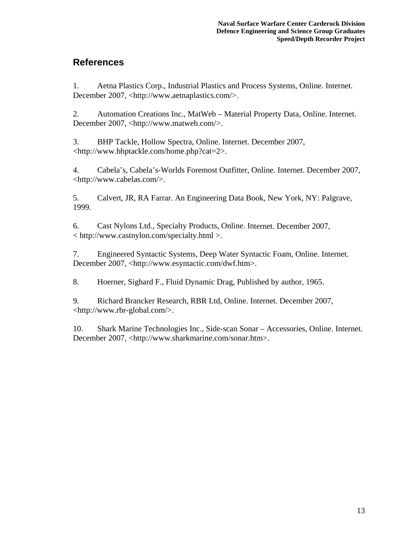## **References**

1. Aetna Plastics Corp., Industrial Plastics and Process Systems, Online. Internet. December 2007, <http://www.aetnaplastics.com/>.

2. Automation Creations Inc., MatWeb – Material Property Data, Online. Internet. December 2007, <http://www.matweb.com/>.

3. BHP Tackle, Hollow Spectra, Online. Internet. December 2007, <http://www.bhptackle.com/home.php?cat=2>.

4. Cabela's, Cabela's-Worlds Foremost Outfitter, Online. Internet. December 2007, <http://www.cabelas.com/>.

5. Calvert, JR, RA Farrar. An Engineering Data Book, New York, NY: Palgrave, 1999.

6. Cast Nylons Ltd., Specialty Products, Online. Internet. December 2007, < http://www.castnylon.com/specialty.html >.

7. Engineered Syntactic Systems, Deep Water Syntactic Foam, Online. Internet. December 2007, <http://www.esyntactic.com/dwf.htm>.

8. Hoerner, Sighard F., Fluid Dynamic Drag, Published by author, 1965.

9. Richard Brancker Research, RBR Ltd, Online. Internet. December 2007, <http://www.rbr-global.com/>.

10. Shark Marine Technologies Inc., Side-scan Sonar – Accessories, Online. Internet. December 2007, <http://www.sharkmarine.com/sonar.htm>.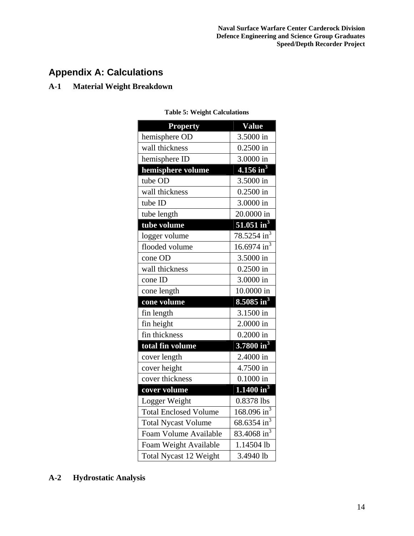## <span id="page-18-0"></span>**Appendix A: Calculations**

### **A-1 Material Weight Breakdown**

| <b>Property</b>               | <b>Value</b>                        |
|-------------------------------|-------------------------------------|
| hemisphere OD                 | 3.5000 in                           |
| wall thickness                | $0.2500$ in                         |
| hemisphere ID                 | 3.0000 in                           |
| hemisphere volume             | $4.156$ in <sup>3</sup>             |
| tube OD                       | 3.5000 in                           |
| wall thickness                | $0.2500$ in                         |
| tube ID                       | 3.0000 in                           |
| tube length                   | 20.0000 in                          |
| tube volume                   | $\overline{51.051}$ in <sup>3</sup> |
| logger volume                 | $78.5254 \text{ in}^3$              |
| flooded volume                | $16.6974 \text{ in}^3$              |
| cone OD                       | 3.5000 in                           |
| wall thickness                | $0.2500$ in                         |
| cone ID                       | 3.0000 in                           |
| cone length                   | 10.0000 in                          |
| cone volume                   | $8.5085 \text{ in}^3$               |
| fin length                    | 3.1500 in                           |
| fin height                    | 2.0000 in                           |
| fin thickness                 | $0.2000$ in                         |
| total fin volume              | 3.7800 in <sup>3</sup>              |
| cover length                  | 2.4000 in                           |
| cover height                  | 4.7500 in                           |
| cover thickness               | $0.1000$ in                         |
| cover volume                  | $1.1400 \text{ in}^3$               |
| Logger Weight                 | 0.8378 lbs                          |
| <b>Total Enclosed Volume</b>  | $\frac{168.096 \text{ in}^3}{ }$    |
| <b>Total Nycast Volume</b>    | 68.6354 in <sup>3</sup>             |
| Foam Volume Available         | 83.4068 in <sup>3</sup>             |
| Foam Weight Available         | 1.14504 lb                          |
| <b>Total Nycast 12 Weight</b> | 3.4940 lb                           |

**Table 5: Weight Calculations** 

## **A-2 Hydrostatic Analysis**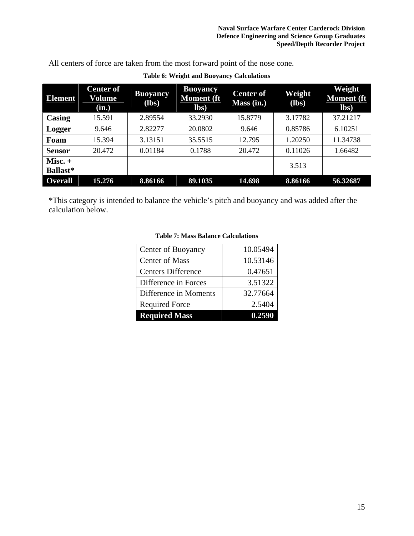All centers of force are taken from the most forward point of the nose cone.

| <b>Element</b>               | <b>Center of</b><br>Volume<br>(in.) | <b>Buoyancy</b><br>$(lbs)$ | <b>Buoyancy</b><br><b>Moment</b> (ft<br>$\mathbf{lbs}$ | <b>Center of</b><br>Mass (in.) | Weight<br>$(lbs)$ | Weight<br><b>Moment</b> (ft<br>$\mathbf{lbs}$ |
|------------------------------|-------------------------------------|----------------------------|--------------------------------------------------------|--------------------------------|-------------------|-----------------------------------------------|
| Casing                       | 15.591                              | 2.89554                    | 33.2930                                                | 15.8779                        | 3.17782           | 37.21217                                      |
| Logger                       | 9.646                               | 2.82277                    | 20.0802                                                | 9.646                          | 0.85786           | 6.10251                                       |
| Foam                         | 15.394                              | 3.13151                    | 35.5515                                                | 12.795                         | 1.20250           | 11.34738                                      |
| <b>Sensor</b>                | 20.472                              | 0.01184                    | 0.1788                                                 | 20.472                         | 0.11026           | 1.66482                                       |
| $Misc. +$<br><b>Ballast*</b> |                                     |                            |                                                        |                                | 3.513             |                                               |
| <b>Overall</b>               | 15.276                              | 8.86166                    | 89.1035                                                | 14.698                         | 8.86166           | 56.32687                                      |

### **Table 6: Weight and Buoyancy Calculations**

\*This category is intended to balance the vehicle's pitch and buoyancy and was added after the calculation below.

| Center of Buoyancy        | 10.05494 |
|---------------------------|----------|
| <b>Center of Mass</b>     | 10.53146 |
| <b>Centers Difference</b> | 0.47651  |
| Difference in Forces      | 3.51322  |
| Difference in Moments     | 32.77664 |
| <b>Required Force</b>     | 2.5404   |
| <b>Required Mass</b>      | 0.259    |

#### **Table 7: Mass Balance Calculations**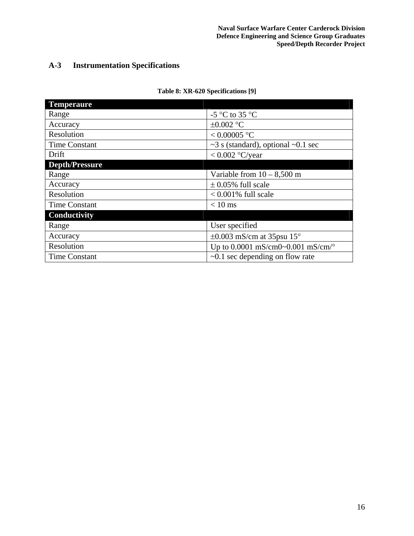### **A-3 Instrumentation Specifications**

| <b>Temperaure</b>     |                                                    |  |
|-----------------------|----------------------------------------------------|--|
| Range                 | -5 $\mathrm{^{\circ}C}$ to 35 $\mathrm{^{\circ}C}$ |  |
| Accuracy              | $\pm 0.002$ °C                                     |  |
| Resolution            | $< 0.00005$ °C                                     |  |
| <b>Time Constant</b>  | $\sim$ 3 s (standard), optional $\sim$ 0.1 sec     |  |
| Drift                 | $< 0.002$ °C/year                                  |  |
| <b>Depth/Pressure</b> |                                                    |  |
| Range                 | Variable from $10 - 8,500$ m                       |  |
| Accuracy              | $\pm$ 0.05% full scale                             |  |
| Resolution            | $< 0.001\%$ full scale                             |  |
| <b>Time Constant</b>  | $< 10$ ms                                          |  |
| Conductivity          |                                                    |  |
| Range                 | User specified                                     |  |
| Accuracy              | $\pm 0.003$ mS/cm at 35psu 15°                     |  |
| Resolution            | Up to 0.0001 mS/cm0~0.001 mS/cm/ $^{\circ}$        |  |
| Time Constant         | $\sim 0.1$ sec depending on flow rate              |  |

#### **Table 8: XR-620 Specifications [9]**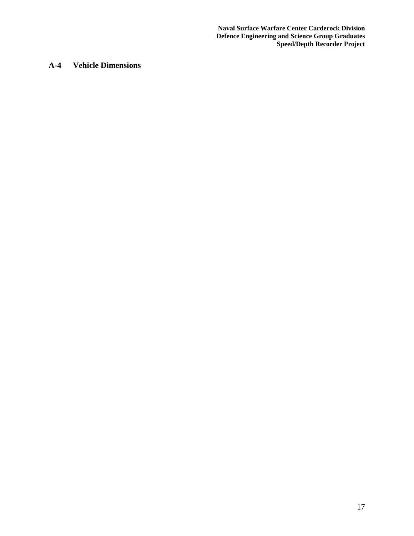**Naval Surface Warfare Center Carderock Division Defence Engineering and Science Group Graduates Speed/Depth Recorder Project** 

### **A-4 Vehicle Dimensions**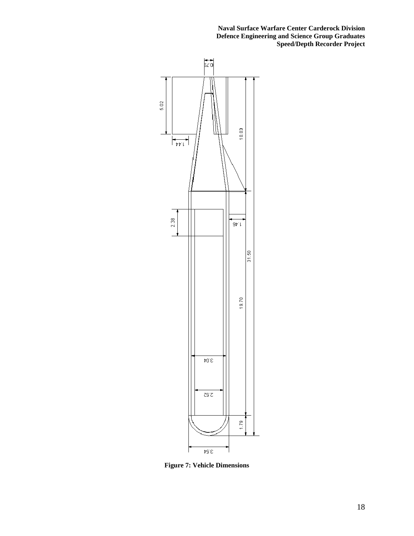**Naval Surface Warfare Center Carderock Division Defence Engineering and Science Group Graduates Speed/Depth Recorder Project** 



**Figure 7: Vehicle Dimensions**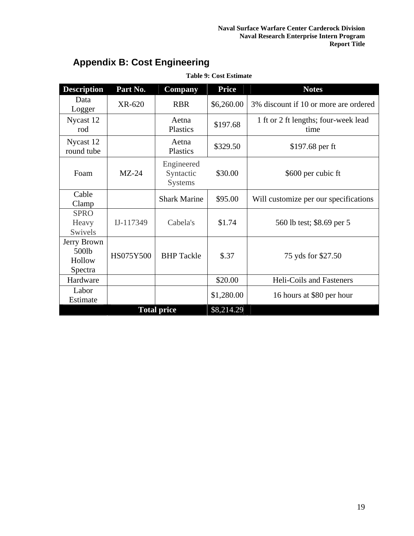<span id="page-23-0"></span>

| <b>Description</b>                        | Part No.  | <b>Company</b>                            | <b>Price</b> | <b>Notes</b>                                 |
|-------------------------------------------|-----------|-------------------------------------------|--------------|----------------------------------------------|
| Data<br>Logger                            | XR-620    | <b>RBR</b>                                | \$6,260.00   | 3% discount if 10 or more are ordered        |
| Nycast 12<br>rod                          |           | Aetna<br>Plastics                         | \$197.68     | 1 ft or 2 ft lengths; four-week lead<br>time |
| Nycast 12<br>round tube                   |           | Aetna<br>Plastics                         | \$329.50     | \$197.68 per ft                              |
| Foam                                      | $MZ-24$   | Engineered<br>Syntactic<br><b>Systems</b> | \$30.00      | \$600 per cubic ft                           |
| Cable<br>Clamp                            |           | <b>Shark Marine</b>                       | \$95.00      | Will customize per our specifications        |
| <b>SPRO</b><br>Heavy<br>Swivels           | IJ-117349 | Cabela's                                  | \$1.74       | 560 lb test; \$8.69 per 5                    |
| Jerry Brown<br>500lb<br>Hollow<br>Spectra | HS075Y500 | <b>BHP</b> Tackle                         | \$.37        | 75 yds for \$27.50                           |
| Hardware                                  |           |                                           | \$20.00      | Heli-Coils and Fasteners                     |
| Labor<br>Estimate                         |           |                                           | \$1,280.00   | 16 hours at \$80 per hour                    |
| <b>Total price</b>                        |           |                                           | \$8,214.29   |                                              |

**Table 9: Cost Estimate** 

## **Appendix B: Cost Engineering**